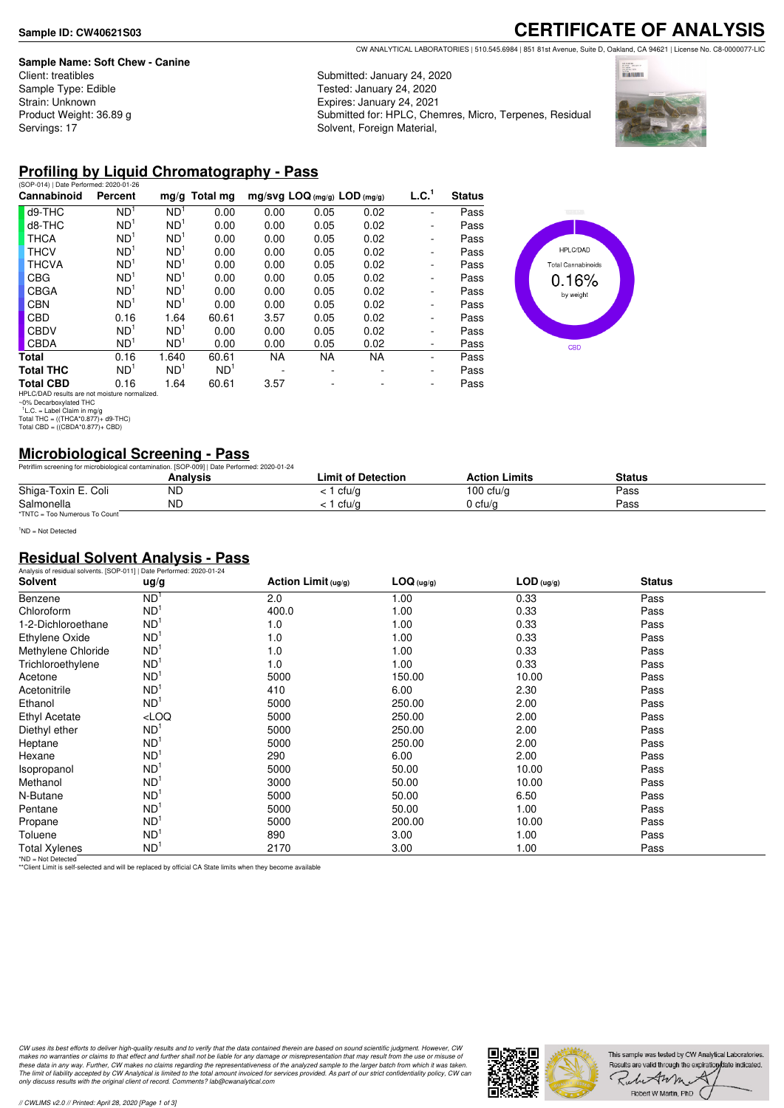#### **Sample Name: Soft Chew - Canine**

Client: treatibles Sample Type: Edible Strain: Unknown Product Weight: 36.89 g Servings: 17

# **CERTIFICATE OF ANALYSIS**

CW ANALYTICAL LABORATORIES | 510.545.6984 | 851 81st Avenue, Suite D, Oakland, CA 94621 | License No. C8-0000077-LIC

Submitted: January 24, 2020 Tested: January 24, 2020 Expires: January 24, 2021 Submitted for: HPLC, Chemres, Micro, Terpenes, Residual Solvent, Foreign Material,



#### **Profiling by Liquid Chromatography - Pass**

| (SOP-014)   Date Performed: 2020-01-26 |                 |                 |               |           |           |                                |                   |
|----------------------------------------|-----------------|-----------------|---------------|-----------|-----------|--------------------------------|-------------------|
| Percent                                |                 |                 |               |           |           |                                | <b>Status</b>     |
| ND <sup>1</sup>                        | ND <sup>1</sup> | 0.00            | 0.00          | 0.05      | 0.02      | ٠                              | Pass              |
| ND <sup>1</sup>                        | ND <sup>1</sup> | 0.00            | 0.00          | 0.05      | 0.02      | ۰                              | Pass              |
| ND <sup>1</sup>                        | ND <sup>1</sup> | 0.00            | 0.00          | 0.05      | 0.02      | ۰                              | Pass              |
| ND <sup>1</sup>                        | ND <sup>1</sup> | 0.00            | 0.00          | 0.05      | 0.02      | ۰                              | Pass              |
| ND <sup>1</sup>                        | ND <sup>1</sup> | 0.00            | 0.00          | 0.05      | 0.02      | ۰                              | Pass              |
| ND <sup>1</sup>                        | ND <sup>1</sup> | 0.00            | 0.00          | 0.05      | 0.02      | ۰                              | Pass              |
| ND <sup>1</sup>                        | ND <sup>1</sup> | 0.00            | 0.00          | 0.05      | 0.02      | ۰                              | Pass              |
| ND <sup>1</sup>                        | ND <sup>1</sup> | 0.00            | 0.00          | 0.05      | 0.02      | ۰                              | Pass              |
| 0.16                                   | 1.64            | 60.61           | 3.57          | 0.05      | 0.02      | ۰                              | Pass              |
| ND <sup>1</sup>                        | ND <sup>1</sup> | 0.00            | 0.00          | 0.05      | 0.02      | ۰                              | Pass              |
| ND <sup>1</sup>                        | ND <sup>1</sup> | 0.00            | 0.00          | 0.05      | 0.02      | -                              | Pass              |
| 0.16                                   | 1.640           | 60.61           | <b>NA</b>     | <b>NA</b> | <b>NA</b> | ٠                              | Pass              |
| ND <sup>1</sup>                        | ND <sup>1</sup> | ND <sup>1</sup> |               | ۰         |           | ۰                              | Pass              |
| 0.16                                   | 1.64            | 60.61           | 3.57          |           |           | -                              | Pass              |
|                                        |                 |                 | mg/g Total mg |           |           | $mg/svg$ LOQ (mg/g) LOD (mg/g) | L.C. <sup>1</sup> |



# **Microbiological Screening - Pass**

| Petriflim screening for microbiological contamination. [SOP-009]   Date Performed: 2020-01-24 |          |                    |                      |               |  |
|-----------------------------------------------------------------------------------------------|----------|--------------------|----------------------|---------------|--|
|                                                                                               | Analvsis | Limit of Detection | <b>Action Limits</b> | <b>Status</b> |  |
| Shiga-Toxin E. Coli                                                                           | ND       | l cfu/g            | 100 $ctu/a$          | Pass          |  |
| Salmonella                                                                                    | ND       | ` cfu/a            | 0 cfu/a              | Pass          |  |
| *TNTC = Too Numerous To Count                                                                 |          |                    |                      |               |  |

<sup>1</sup>ND = Not Detected

#### **Residual Solvent Analysis - Pass**

| Analysis of residual solvents. [SOP-011]   Date Performed: 2020-01-24 |                 |                        |            |              |               |  |
|-----------------------------------------------------------------------|-----------------|------------------------|------------|--------------|---------------|--|
| Solvent                                                               | ug/g            | Action Limit $( uq/q)$ | LOG (ug/g) | $LOD$ (ug/g) | <b>Status</b> |  |
| Benzene                                                               | ND <sup>1</sup> | 2.0                    | 1.00       | 0.33         | Pass          |  |
| Chloroform                                                            | ND <sup>1</sup> | 400.0                  | 1.00       | 0.33         | Pass          |  |
| 1-2-Dichloroethane                                                    | ND <sup>1</sup> | 1.0                    | 1.00       | 0.33         | Pass          |  |
| Ethylene Oxide                                                        | ND <sup>1</sup> | 1.0                    | 1.00       | 0.33         | Pass          |  |
| Methylene Chloride                                                    | ND <sup>1</sup> | 1.0                    | 1.00       | 0.33         | Pass          |  |
| Trichloroethylene                                                     | ND <sup>1</sup> | 1.0                    | 1.00       | 0.33         | Pass          |  |
| Acetone                                                               | ND <sup>1</sup> | 5000                   | 150.00     | 10.00        | Pass          |  |
| Acetonitrile                                                          | ND <sup>1</sup> | 410                    | 6.00       | 2.30         | Pass          |  |
| Ethanol                                                               | ND <sup>1</sup> | 5000                   | 250.00     | 2.00         | Pass          |  |
| Ethyl Acetate                                                         | LOO             | 5000                   | 250.00     | 2.00         | Pass          |  |
| Diethyl ether                                                         | ND <sup>1</sup> | 5000                   | 250.00     | 2.00         | Pass          |  |
| Heptane                                                               | ND <sup>1</sup> | 5000                   | 250.00     | 2.00         | Pass          |  |
| Hexane                                                                | ND <sup>1</sup> | 290                    | 6.00       | 2.00         | Pass          |  |
| Isopropanol                                                           | ND <sup>1</sup> | 5000                   | 50.00      | 10.00        | Pass          |  |
| Methanol                                                              | ND <sup>1</sup> | 3000                   | 50.00      | 10.00        | Pass          |  |
| N-Butane                                                              | ND <sup>1</sup> | 5000                   | 50.00      | 6.50         | Pass          |  |
| Pentane                                                               | ND <sup>1</sup> | 5000                   | 50.00      | 1.00         | Pass          |  |
| Propane                                                               | ND <sup>1</sup> | 5000                   | 200.00     | 10.00        | Pass          |  |
| Toluene                                                               | ND <sup>1</sup> | 890                    | 3.00       | 1.00         | Pass          |  |
| <b>Total Xylenes</b>                                                  | ND <sup>1</sup> | 2170                   | 3.00       | 1.00         | Pass          |  |

\*ND = Not Detected \*\*Client Limit is self-selected and will be replaced by official CA State limits when they become available

CW uses its best efforts to deliver high-quality results and to verify that the data contained therein are based on sound scientific judgment. However, CW<br>makes no warranties or claims to that effect and further shall not *only discuss results with the original client of record. Comments? lab@cwanalytical.com*



HPLC/DAD results are not moisture normalized. ~0% Decarboxylated THC 1 L.C. = Label Claim in mg/g Total THC = ((THCA\*0.877)+ d9-THC) Total CBD = ((CBDA\*0.877)+ CBD)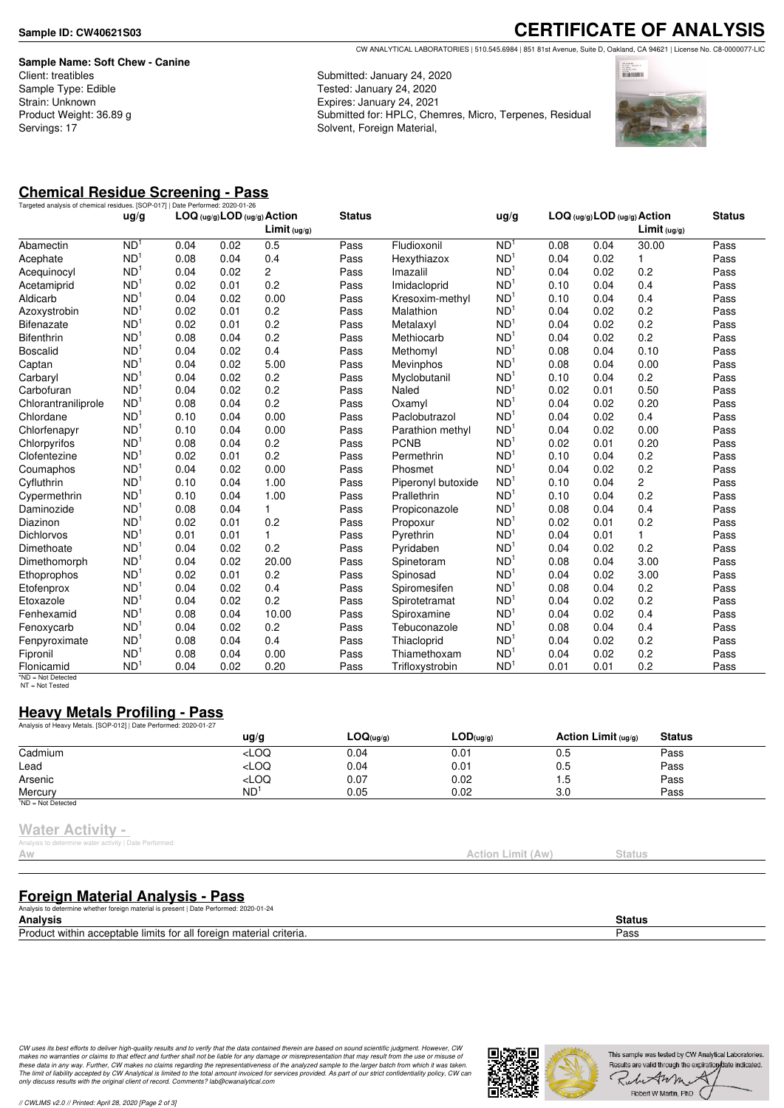**Sample Name: Soft Chew - Canine** Client: treatibles Sample Type: Edible Strain: Unknown Product Weight: 36.89 g Servings: 17

**CERTIFICATE OF ANALYSIS** CW ANALYTICAL LABORATORIES | 510.545.6984 | 851 81st Avenue, Suite D, Oakland, CA 94621 | License No. C8-0000077-LIC

Submitted: January 24, 2020 Tested: January 24, 2020 Expires: January 24, 2021 Submitted for: HPLC, Chemres, Micro, Terpenes, Residual Solvent, Foreign Material,



# **Chemical Residue Screening - Pass**

|                     |                 | Targeted analysis of chemical residues. [SOP-017]   Date Performed: 2020-01-26<br>LOG (ug/g) LOD (ug/g) Action |      |                         |               |                    |                 | $LOG (uq/q)$ LOD $(uq/q)$ Action |      |                 |               |
|---------------------|-----------------|----------------------------------------------------------------------------------------------------------------|------|-------------------------|---------------|--------------------|-----------------|----------------------------------|------|-----------------|---------------|
|                     | ug/g            |                                                                                                                |      | Limit <sub>(ug/g)</sub> | <b>Status</b> |                    | ug/g            |                                  |      | Limit $( uq/q)$ | <b>Status</b> |
| Abamectin           | N <sub>D</sub>  | 0.04                                                                                                           | 0.02 | 0.5                     | Pass          | Fludioxonil        | ND <sup>1</sup> | 0.08                             | 0.04 | 30.00           | Pass          |
| Acephate            | ND <sup>1</sup> | 0.08                                                                                                           | 0.04 | 0.4                     | Pass          | Hexythiazox        | ND <sup>1</sup> | 0.04                             | 0.02 | 1               | Pass          |
| Acequinocyl         | ND <sup>1</sup> | 0.04                                                                                                           | 0.02 | $\overline{2}$          | Pass          | Imazalil           | ND <sup>1</sup> | 0.04                             | 0.02 | 0.2             | Pass          |
| Acetamiprid         | ND <sup>1</sup> | 0.02                                                                                                           | 0.01 | 0.2                     | Pass          | Imidacloprid       | ND <sup>1</sup> | 0.10                             | 0.04 | 0.4             | Pass          |
| Aldicarb            | ND <sup>1</sup> | 0.04                                                                                                           | 0.02 | 0.00                    | Pass          | Kresoxim-methyl    | ND <sup>1</sup> | 0.10                             | 0.04 | 0.4             | Pass          |
| Azoxystrobin        | ND <sup>1</sup> | 0.02                                                                                                           | 0.01 | 0.2                     | Pass          | Malathion          | ND <sup>1</sup> | 0.04                             | 0.02 | 0.2             | Pass          |
| <b>Bifenazate</b>   | ND <sup>1</sup> | 0.02                                                                                                           | 0.01 | 0.2                     | Pass          | Metalaxyl          | ND <sup>1</sup> | 0.04                             | 0.02 | 0.2             | Pass          |
| <b>Bifenthrin</b>   | ND <sup>1</sup> | 0.08                                                                                                           | 0.04 | 0.2                     | Pass          | Methiocarb         | ND <sup>1</sup> | 0.04                             | 0.02 | 0.2             | Pass          |
| <b>Boscalid</b>     | ND <sup>1</sup> | 0.04                                                                                                           | 0.02 | 0.4                     | Pass          | Methomyl           | ND <sup>1</sup> | 0.08                             | 0.04 | 0.10            | Pass          |
| Captan              | ND <sup>1</sup> | 0.04                                                                                                           | 0.02 | 5.00                    | Pass          | Mevinphos          | ND <sup>1</sup> | 0.08                             | 0.04 | 0.00            | Pass          |
| Carbaryl            | ND <sup>1</sup> | 0.04                                                                                                           | 0.02 | 0.2                     | Pass          | Myclobutanil       | ND <sup>1</sup> | 0.10                             | 0.04 | 0.2             | Pass          |
| Carbofuran          | ND <sup>1</sup> | 0.04                                                                                                           | 0.02 | 0.2                     | Pass          | Naled              | ND <sup>1</sup> | 0.02                             | 0.01 | 0.50            | Pass          |
| Chlorantraniliprole | ND <sup>1</sup> | 0.08                                                                                                           | 0.04 | 0.2                     | Pass          | Oxamyl             | ND <sup>1</sup> | 0.04                             | 0.02 | 0.20            | Pass          |
| Chlordane           | ND <sup>1</sup> | 0.10                                                                                                           | 0.04 | 0.00                    | Pass          | Paclobutrazol      | ND <sup>1</sup> | 0.04                             | 0.02 | 0.4             | Pass          |
| Chlorfenapyr        | ND <sup>1</sup> | 0.10                                                                                                           | 0.04 | 0.00                    | Pass          | Parathion methyl   | ND <sup>1</sup> | 0.04                             | 0.02 | 0.00            | Pass          |
| Chlorpyrifos        | ND <sup>1</sup> | 0.08                                                                                                           | 0.04 | 0.2                     | Pass          | <b>PCNB</b>        | ND <sup>1</sup> | 0.02                             | 0.01 | 0.20            | Pass          |
| Clofentezine        | ND <sup>1</sup> | 0.02                                                                                                           | 0.01 | 0.2                     | Pass          | Permethrin         | ND <sup>1</sup> | 0.10                             | 0.04 | 0.2             | Pass          |
| Coumaphos           | ND <sup>1</sup> | 0.04                                                                                                           | 0.02 | 0.00                    | Pass          | Phosmet            | ND <sup>1</sup> | 0.04                             | 0.02 | 0.2             | Pass          |
| Cyfluthrin          | ND <sup>1</sup> | 0.10                                                                                                           | 0.04 | 1.00                    | Pass          | Piperonyl butoxide | ND <sup>1</sup> | 0.10                             | 0.04 | $\overline{c}$  | Pass          |
| Cypermethrin        | ND <sup>1</sup> | 0.10                                                                                                           | 0.04 | 1.00                    | Pass          | Prallethrin        | ND <sup>1</sup> | 0.10                             | 0.04 | 0.2             | Pass          |
| Daminozide          | ND <sup>1</sup> | 0.08                                                                                                           | 0.04 | 1.                      | Pass          | Propiconazole      | ND <sup>1</sup> | 0.08                             | 0.04 | 0.4             | Pass          |
| Diazinon            | ND <sup>1</sup> | 0.02                                                                                                           | 0.01 | 0.2                     | Pass          | Propoxur           | ND <sup>1</sup> | 0.02                             | 0.01 | 0.2             | Pass          |
| <b>Dichlorvos</b>   | ND <sup>1</sup> | 0.01                                                                                                           | 0.01 | 1.                      | Pass          | Pyrethrin          | ND <sup>1</sup> | 0.04                             | 0.01 | 1               | Pass          |
| Dimethoate          | ND <sup>1</sup> | 0.04                                                                                                           | 0.02 | 0.2                     | Pass          | Pyridaben          | ND <sup>1</sup> | 0.04                             | 0.02 | 0.2             | Pass          |
| Dimethomorph        | ND <sup>1</sup> | 0.04                                                                                                           | 0.02 | 20.00                   | Pass          | Spinetoram         | ND <sup>1</sup> | 0.08                             | 0.04 | 3.00            | Pass          |
| Ethoprophos         | ND <sup>1</sup> | 0.02                                                                                                           | 0.01 | 0.2                     | Pass          | Spinosad           | ND <sup>1</sup> | 0.04                             | 0.02 | 3.00            | Pass          |
| Etofenprox          | ND <sup>1</sup> | 0.04                                                                                                           | 0.02 | 0.4                     | Pass          | Spiromesifen       | ND <sup>1</sup> | 0.08                             | 0.04 | 0.2             | Pass          |
| Etoxazole           | ND <sup>1</sup> | 0.04                                                                                                           | 0.02 | 0.2                     | Pass          | Spirotetramat      | ND <sup>1</sup> | 0.04                             | 0.02 | 0.2             | Pass          |
| Fenhexamid          | ND <sup>1</sup> | 0.08                                                                                                           | 0.04 | 10.00                   | Pass          | Spiroxamine        | ND <sup>1</sup> | 0.04                             | 0.02 | 0.4             | Pass          |
| Fenoxycarb          | ND <sup>1</sup> | 0.04                                                                                                           | 0.02 | 0.2                     | Pass          | Tebuconazole       | ND <sup>1</sup> | 0.08                             | 0.04 | 0.4             | Pass          |
| Fenpyroximate       | ND <sup>1</sup> | 0.08                                                                                                           | 0.04 | 0.4                     | Pass          | Thiacloprid        | ND <sup>1</sup> | 0.04                             | 0.02 | 0.2             | Pass          |
| Fipronil            | ND <sup>1</sup> | 0.08                                                                                                           | 0.04 | 0.00                    | Pass          | Thiamethoxam       | ND <sup>1</sup> | 0.04                             | 0.02 | 0.2             | Pass          |
| Flonicamid          | ND <sup>1</sup> | 0.04                                                                                                           | 0.02 | 0.20                    | Pass          | Trifloxystrobin    | ND <sup>1</sup> | 0.01                             | 0.01 | 0.2             | Pass          |

\*ND = Not Detected NT = Not Tested

### **Heavy Metals Profiling - Pass**

| Analysis of Heavy Metals. [SOP-012]   Date Performed: 2020-01-27 |                                                                                  |           |                               |                       |               |  |
|------------------------------------------------------------------|----------------------------------------------------------------------------------|-----------|-------------------------------|-----------------------|---------------|--|
|                                                                  | $\frac{u}{g}$                                                                    | LOG(ug/g) | $\mathsf{LOD}(\mathsf{ug/g})$ | Action Limit $(uq/q)$ | <b>Status</b> |  |
| Cadmium                                                          | <loq< td=""><td>0.04</td><td>0.01</td><td>0.5</td><td>Pass</td><td></td></loq<>  | 0.04      | 0.01                          | 0.5                   | Pass          |  |
| Lead                                                             | $<$ LOQ                                                                          | 0.04      | 0.01                          | 0.5                   | Pass          |  |
| Arsenic                                                          | <loq< td=""><td>0.07</td><td>0.02</td><td>5. ا</td><td>Pass</td><td></td></loq<> | 0.07      | 0.02                          | 5. ا                  | Pass          |  |
| Mercurv                                                          | ND <sup>1</sup>                                                                  | 0.05      | 0.02                          | 3.0                   | Pass          |  |
| <sup>1</sup> ND = Not Detected                                   |                                                                                  |           |                               |                       |               |  |

#### **Water Activity -**

is to determine water activity | Date Performed:

### **Foreign Material Analysis - Pass**

| Analysis to determine whether foreign material is present   Date Performed: 2020-01-24         |        |
|------------------------------------------------------------------------------------------------|--------|
| <b>Analysis</b>                                                                                | Status |
| Product within<br>n acceptable limits for all foreign i<br>⊪material<br><sup>i</sup> criteria. | □ass   |
|                                                                                                |        |

CW uses its best efforts to deliver high-quality results and to verify that the data contained therein are based on sound scientific judgment. However, CW<br>makes no warranties or claims to that effect and further shall not *only discuss results with the original client of record. Comments? lab@cwanalytical.com*



Action Limit (Aw) Status